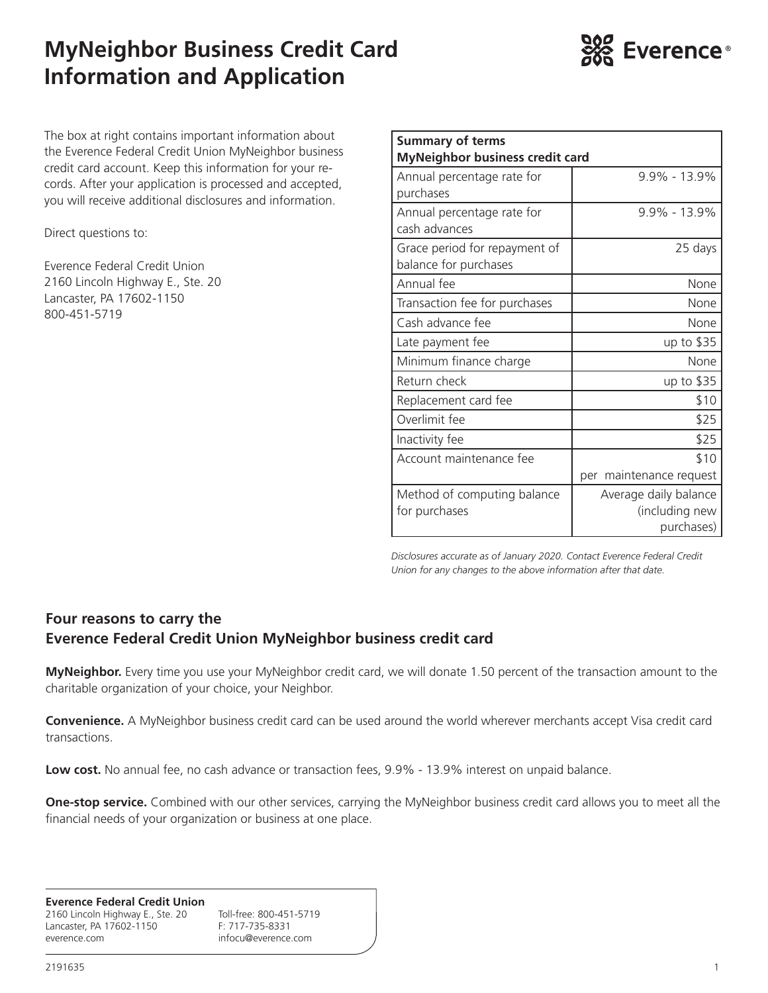# **MyNeighbor Business Credit Card Information and Application**



The box at right contains important information about the Everence Federal Credit Union MyNeighbor business credit card account. Keep this information for your records. After your application is processed and accepted, you will receive additional disclosures and information.

Direct questions to:

Everence Federal Credit Union 2160 Lincoln Highway E., Ste. 20 Lancaster, PA 17602-1150 800-451-5719

| <b>Summary of terms</b><br><b>MyNeighbor business credit card</b> |                         |  |  |
|-------------------------------------------------------------------|-------------------------|--|--|
| Annual percentage rate for<br>purchases                           | $9.9\% - 13.9\%$        |  |  |
|                                                                   |                         |  |  |
| Annual percentage rate for<br>cash advances                       | $9.9\% - 13.9\%$        |  |  |
| Grace period for repayment of<br>balance for purchases            | 25 days                 |  |  |
| Annual fee                                                        | None                    |  |  |
| Transaction fee for purchases                                     | None                    |  |  |
| Cash advance fee                                                  | None                    |  |  |
| Late payment fee                                                  | up to \$35              |  |  |
| Minimum finance charge                                            | None                    |  |  |
| Return check                                                      | up to \$35              |  |  |
| Replacement card fee                                              | \$10                    |  |  |
| Overlimit fee                                                     | \$25                    |  |  |
| Inactivity fee                                                    | \$25                    |  |  |
| Account maintenance fee                                           | \$10                    |  |  |
|                                                                   | per maintenance request |  |  |
| Method of computing balance                                       | Average daily balance   |  |  |
| for purchases                                                     | (including new          |  |  |
|                                                                   | purchases)              |  |  |

*Disclosures accurate as of January 2020. Contact Everence Federal Credit Union for any changes to the above information after that date.*

### **Four reasons to carry the Everence Federal Credit Union MyNeighbor business credit card**

**MyNeighbor.** Every time you use your MyNeighbor credit card, we will donate 1.50 percent of the transaction amount to the charitable organization of your choice, your Neighbor.

**Convenience.** A MyNeighbor business credit card can be used around the world wherever merchants accept Visa credit card transactions.

Low cost. No annual fee, no cash advance or transaction fees, 9.9% - 13.9% interest on unpaid balance.

**One-stop service.** Combined with our other services, carrying the MyNeighbor business credit card allows you to meet all the financial needs of your organization or business at one place.

#### **Everence Federal Credit Union**

2160 Lincoln Highway E., Ste. 20 Toll-free: 800-451-5719 Lancaster, PA 17602-1150 F: 717-735-8331 everence.com infocu@everence.com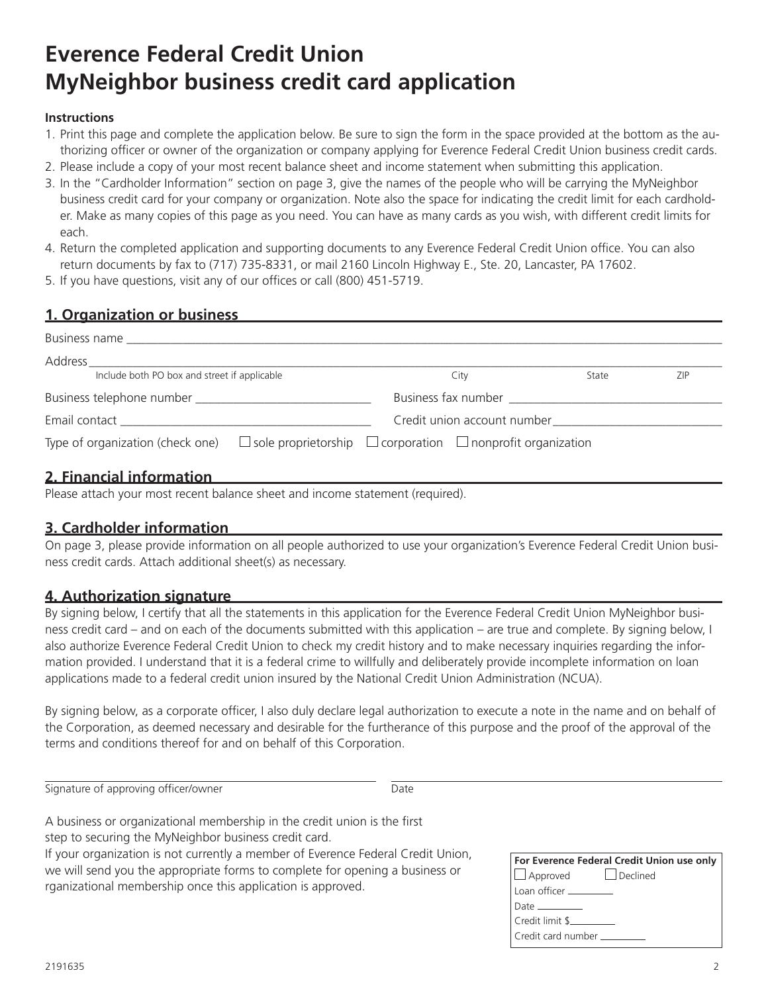# **Everence Federal Credit Union MyNeighbor business credit card application**

#### **Instructions**

- 1. Print this page and complete the application below. Be sure to sign the form in the space provided at the bottom as the authorizing officer or owner of the organization or company applying for Everence Federal Credit Union business credit cards.
- 2. Please include a copy of your most recent balance sheet and income statement when submitting this application.
- 3. In the "Cardholder Information" section on page 3, give the names of the people who will be carrying the MyNeighbor business credit card for your company or organization. Note also the space for indicating the credit limit for each cardholder. Make as many copies of this page as you need. You can have as many cards as you wish, with different credit limits for each.
- 4. Return the completed application and supporting documents to any Everence Federal Credit Union office. You can also return documents by fax to (717) 735-8331, or mail 2160 Lincoln Highway E., Ste. 20, Lancaster, PA 17602.
- 5. If you have questions, visit any of our offices or call (800) 451-5719.

#### **1. Organization or business**

| <b>Business name Example 20</b>                                                                                                                                                                                                |  |                                                                                                                                                                                                                                |       |            |
|--------------------------------------------------------------------------------------------------------------------------------------------------------------------------------------------------------------------------------|--|--------------------------------------------------------------------------------------------------------------------------------------------------------------------------------------------------------------------------------|-------|------------|
| Address                                                                                                                                                                                                                        |  |                                                                                                                                                                                                                                |       |            |
| Include both PO box and street if applicable                                                                                                                                                                                   |  | City                                                                                                                                                                                                                           | State | <b>ZIP</b> |
|                                                                                                                                                                                                                                |  | Business fax number and the state of the state of the state of the state of the state of the state of the state of the state of the state of the state of the state of the state of the state of the state of the state of the |       |            |
| Email contact and the state of the state of the state of the state of the state of the state of the state of the state of the state of the state of the state of the state of the state of the state of the state of the state |  | Credit union account number                                                                                                                                                                                                    |       |            |
| Type of organization (check one) $\Box$ sole proprietorship $\Box$ corporation $\Box$ nonprofit organization                                                                                                                   |  |                                                                                                                                                                                                                                |       |            |

#### **2. Financial information**

Please attach your most recent balance sheet and income statement (required).

### **3. Cardholder information**

On page 3, please provide information on all people authorized to use your organization's Everence Federal Credit Union business credit cards. Attach additional sheet(s) as necessary.

#### **4. Authorization signature**

By signing below, I certify that all the statements in this application for the Everence Federal Credit Union MyNeighbor business credit card – and on each of the documents submitted with this application – are true and complete. By signing below, I also authorize Everence Federal Credit Union to check my credit history and to make necessary inquiries regarding the information provided. I understand that it is a federal crime to willfully and deliberately provide incomplete information on loan applications made to a federal credit union insured by the National Credit Union Administration (NCUA).

By signing below, as a corporate officer, I also duly declare legal authorization to execute a note in the name and on behalf of the Corporation, as deemed necessary and desirable for the furtherance of this purpose and the proof of the approval of the terms and conditions thereof for and on behalf of this Corporation.

| Signature of approving officer/owner | Date |
|--------------------------------------|------|
|--------------------------------------|------|

A business or organizational membership in the credit union is the first step to securing the MyNeighbor business credit card. If your organization is not currently a member of Everence Federal Credit Union, we will send you the appropriate forms to complete for opening a business or rganizational membership once this application is approved.

| For Everence Federal Credit Union use only |  |  |
|--------------------------------------------|--|--|
| $\Box$ Approved $\Box$ Declined            |  |  |
| Loan officer _________                     |  |  |
|                                            |  |  |
| Credit limit \$                            |  |  |
| l Credit card number ________              |  |  |